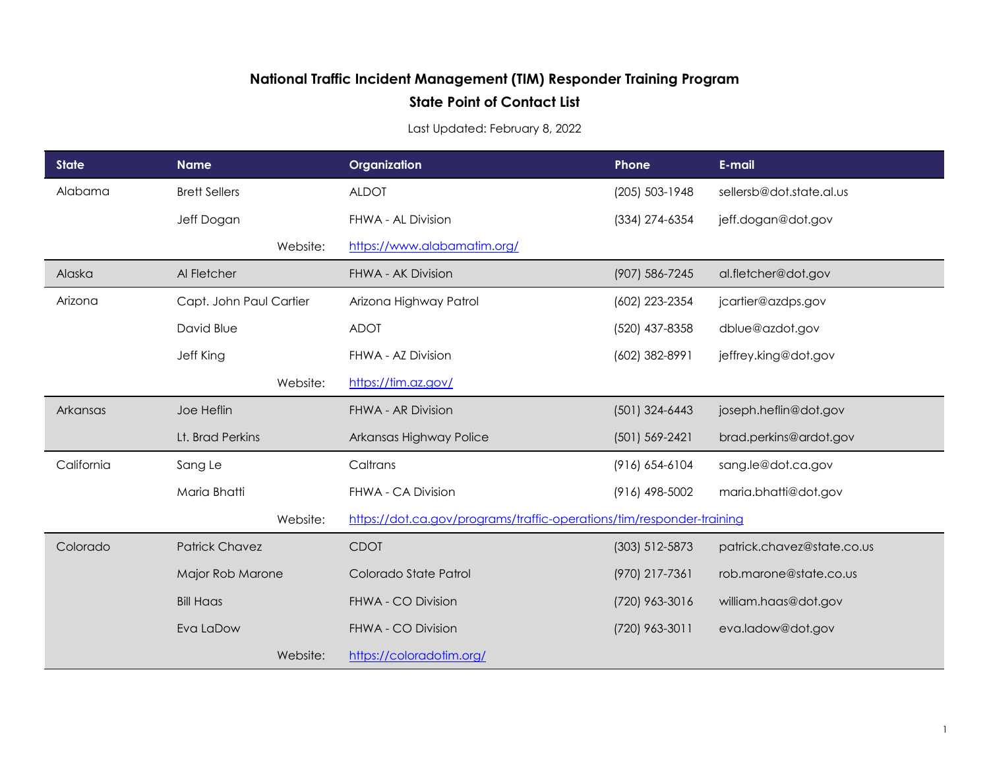## **National Traffic Incident Management (TIM) Responder Training Program**

## **State Point of Contact List**

Last Updated: February 8, 2022

| <b>State</b> | <b>Name</b>             | Organization                                                          | Phone            | E-mail                     |
|--------------|-------------------------|-----------------------------------------------------------------------|------------------|----------------------------|
| Alabama      | <b>Brett Sellers</b>    | <b>ALDOT</b>                                                          | (205) 503-1948   | sellersb@dot.state.al.us   |
|              | Jeff Dogan              | FHWA - AL Division                                                    | (334) 274-6354   | jeff.dogan@dot.gov         |
|              | Website:                | https://www.alabamatim.org/                                           |                  |                            |
| Alaska       | Al Fletcher             | FHWA - AK Division                                                    | (907) 586-7245   | al.fletcher@dot.gov        |
| Arizona      | Capt. John Paul Cartier | Arizona Highway Patrol                                                | (602) 223-2354   | jcartier@azdps.gov         |
|              | David Blue              | <b>ADOT</b>                                                           | (520) 437-8358   | dblue@azdot.gov            |
|              | Jeff King               | FHWA - AZ Division                                                    | (602) 382-8991   | jeffrey.king@dot.gov       |
|              | Website:                | https://tim.az.gov/                                                   |                  |                            |
| Arkansas     | Joe Heflin              | FHWA - AR Division                                                    | $(501)$ 324-6443 | joseph.heflin@dot.gov      |
|              | Lt. Brad Perkins        | Arkansas Highway Police                                               | (501) 569-2421   | brad.perkins@ardot.gov     |
| California   | Sang Le                 | Caltrans                                                              | (916) 654-6104   | sang.le@dot.ca.gov         |
|              | Maria Bhatti            | FHWA - CA Division                                                    | (916) 498-5002   | maria.bhatti@dot.gov       |
|              | Website:                | https://dot.ca.gov/programs/traffic-operations/tim/responder-training |                  |                            |
| Colorado     | <b>Patrick Chavez</b>   | <b>CDOT</b>                                                           | (303) 512-5873   | patrick.chavez@state.co.us |
|              | Major Rob Marone        | Colorado State Patrol                                                 | (970) 217-7361   | rob.marone@state.co.us     |
|              | <b>Bill Haas</b>        | FHWA - CO Division                                                    | (720) 963-3016   | william.haas@dot.gov       |
|              | Eva LaDow               | FHWA - CO Division                                                    | (720) 963-3011   | eva.ladow@dot.gov          |
|              | Website:                | https://coloradotim.org/                                              |                  |                            |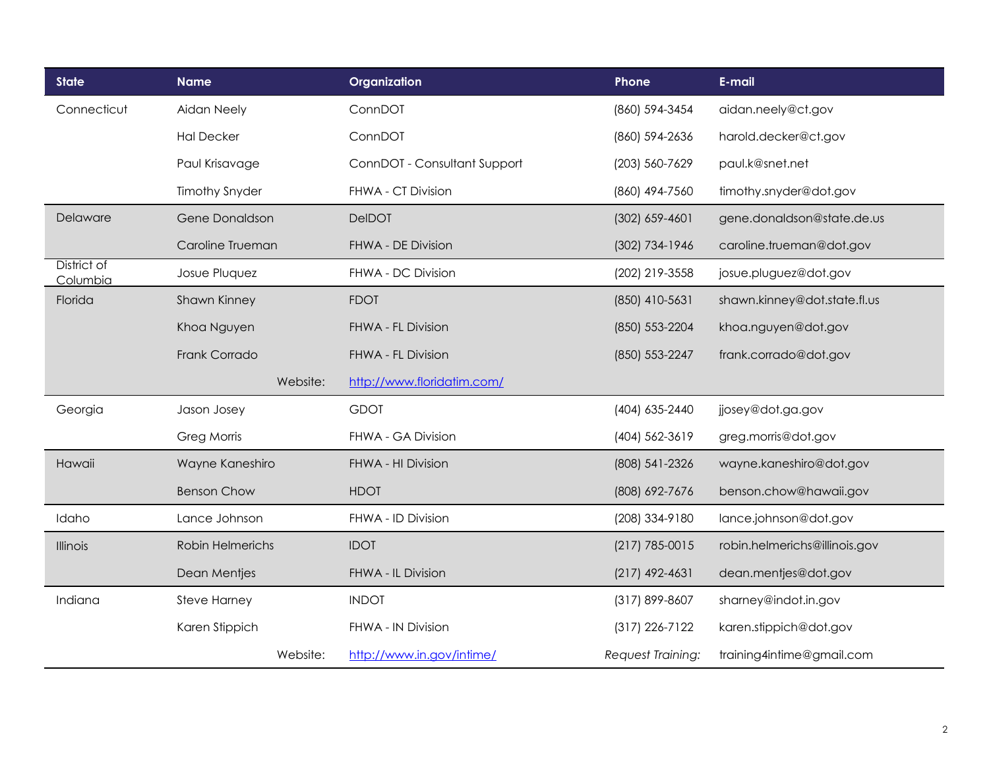| <b>State</b>            | <b>Name</b>           | Organization                 | Phone              | E-mail                        |
|-------------------------|-----------------------|------------------------------|--------------------|-------------------------------|
| Connecticut             | Aidan Neely           | ConnDOT                      | (860) 594-3454     | aidan.neely@ct.gov            |
|                         | <b>Hal Decker</b>     | ConnDOT                      | (860) 594-2636     | harold.decker@ct.gov          |
|                         | Paul Krisavage        | ConnDOT - Consultant Support | (203) 560-7629     | paul.k@snet.net               |
|                         | <b>Timothy Snyder</b> | FHWA - CT Division           | (860) 494-7560     | timothy.snyder@dot.gov        |
| Delaware                | Gene Donaldson        | <b>DeIDOT</b>                | $(302)$ 659-4601   | gene.donaldson@state.de.us    |
|                         | Caroline Trueman      | FHWA - DE Division           | (302) 734-1946     | caroline.trueman@dot.gov      |
| District of<br>Columbia | Josue Pluquez         | FHWA - DC Division           | (202) 219-3558     | josue.pluguez@dot.gov         |
| Florida                 | Shawn Kinney          | <b>FDOT</b>                  | (850) 410-5631     | shawn.kinney@dot.state.fl.us  |
|                         | Khoa Nguyen           | FHWA - FL Division           | (850) 553-2204     | khoa.nguyen@dot.gov           |
|                         | Frank Corrado         | FHWA - FL Division           | (850) 553-2247     | frank.corrado@dot.gov         |
|                         | Website:              | http://www.floridatim.com/   |                    |                               |
| Georgia                 | Jason Josey           | <b>GDOT</b>                  | (404) 635-2440     | jjosey@dot.ga.gov             |
|                         | Greg Morris           | FHWA - GA Division           | (404) 562-3619     | greg.morris@dot.gov           |
| Hawaii                  | Wayne Kaneshiro       | FHWA - HI Division           | (808) 541-2326     | wayne.kaneshiro@dot.gov       |
|                         | <b>Benson Chow</b>    | <b>HDOT</b>                  | (808) 692-7676     | benson.chow@hawaii.gov        |
| Idaho                   | Lance Johnson         | FHWA - ID Division           | (208) 334-9180     | lance.johnson@dot.gov         |
| Illinois                | Robin Helmerichs      | <b>IDOT</b>                  | $(217)$ 785-0015   | robin.helmerichs@illinois.gov |
|                         | Dean Mentjes          | FHWA - IL Division           | $(217)$ 492-4631   | dean.mentjes@dot.gov          |
| Indiana                 | <b>Steve Harney</b>   | <b>INDOT</b>                 | $(317) 899 - 8607$ | sharney@indot.in.gov          |
|                         | Karen Stippich        | FHWA - IN Division           | $(317)$ 226-7122   | karen.stippich@dot.gov        |
|                         | Website:              | http://www.in.gov/intime/    | Request Training:  | training4intime@gmail.com     |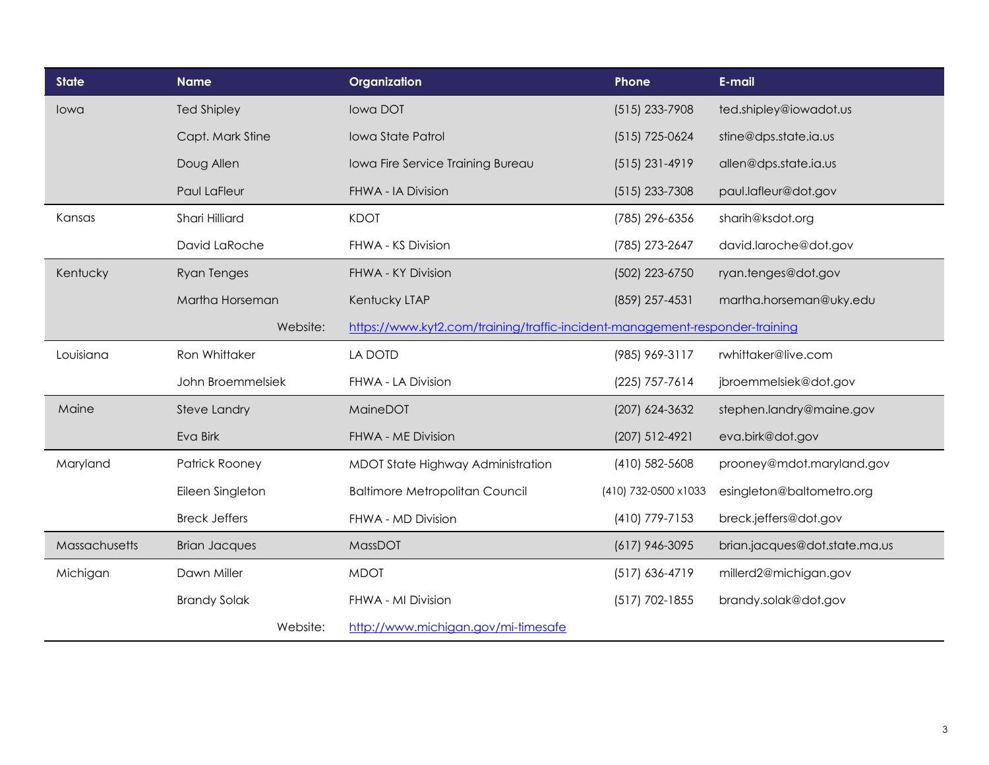| <b>State</b>  | <b>Name</b>          | Organization                                                                 | Phone                | E-mail                        |
|---------------|----------------------|------------------------------------------------------------------------------|----------------------|-------------------------------|
| lowa          | <b>Ted Shipley</b>   | lowa DOT                                                                     | $(515)$ 233-7908     | ted.shipley@iowadot.us        |
|               | Capt. Mark Stine     | Iowa State Patrol                                                            | (515) 725-0624       | stine@dps.state.ia.us         |
|               | Doug Allen           | Iowa Fire Service Training Bureau                                            | $(515)$ 231-4919     | allen@dps.state.ia.us         |
|               | Paul LaFleur         | FHWA - IA Division                                                           | $(515)$ 233-7308     | paul.lafleur@dot.gov          |
| Kansas        | Shari Hilliard       | <b>KDOT</b>                                                                  | (785) 296-6356       | sharih@ksdot.org              |
|               | David LaRoche        | FHWA - KS Division                                                           | (785) 273-2647       | david.laroche@dot.gov         |
| Kentucky      | <b>Ryan Tenges</b>   | FHWA - KY Division                                                           | (502) 223-6750       | ryan.tenges@dot.gov           |
|               | Martha Horseman      | Kentucky LTAP                                                                | (859) 257-4531       | martha.horseman@uky.edu       |
|               | Website:             | https://www.kyt2.com/training/traffic-incident-management-responder-training |                      |                               |
| Louisiana     | Ron Whittaker        | <b>LA DOTD</b>                                                               | (985) 969-3117       | rwhittaker@live.com           |
|               | John Broemmelsiek    | FHWA - LA Division                                                           | (225) 757-7614       | jbroemmelsiek@dot.gov         |
| Maine         | Steve Landry         | MaineDOT                                                                     | (207) 624-3632       | stephen.landry@maine.gov      |
|               | Eva Birk             | FHWA - ME Division                                                           | (207) 512-4921       | eva.birk@dot.gov              |
| Maryland      | Patrick Rooney       | MDOT State Highway Administration                                            | (410) 582-5608       | prooney@mdot.maryland.gov     |
|               | Eileen Singleton     | <b>Baltimore Metropolitan Council</b>                                        | (410) 732-0500 x1033 | esingleton@baltometro.org     |
|               | <b>Breck Jeffers</b> | FHWA - MD Division                                                           | (410) 779-7153       | breck.jeffers@dot.gov         |
| Massachusetts | <b>Brian Jacques</b> | MassDOT                                                                      | $(617)$ 946-3095     | brian.jacques@dot.state.ma.us |
| Michigan      | Dawn Miller          | <b>MDOT</b>                                                                  | $(517)$ 636-4719     | millerd2@michigan.gov         |
|               | <b>Brandy Solak</b>  | FHWA - MI Division                                                           | $(517) 702 - 1855$   | brandy.solak@dot.gov          |
|               | Website:             | http://www.michigan.gov/mi-timesafe                                          |                      |                               |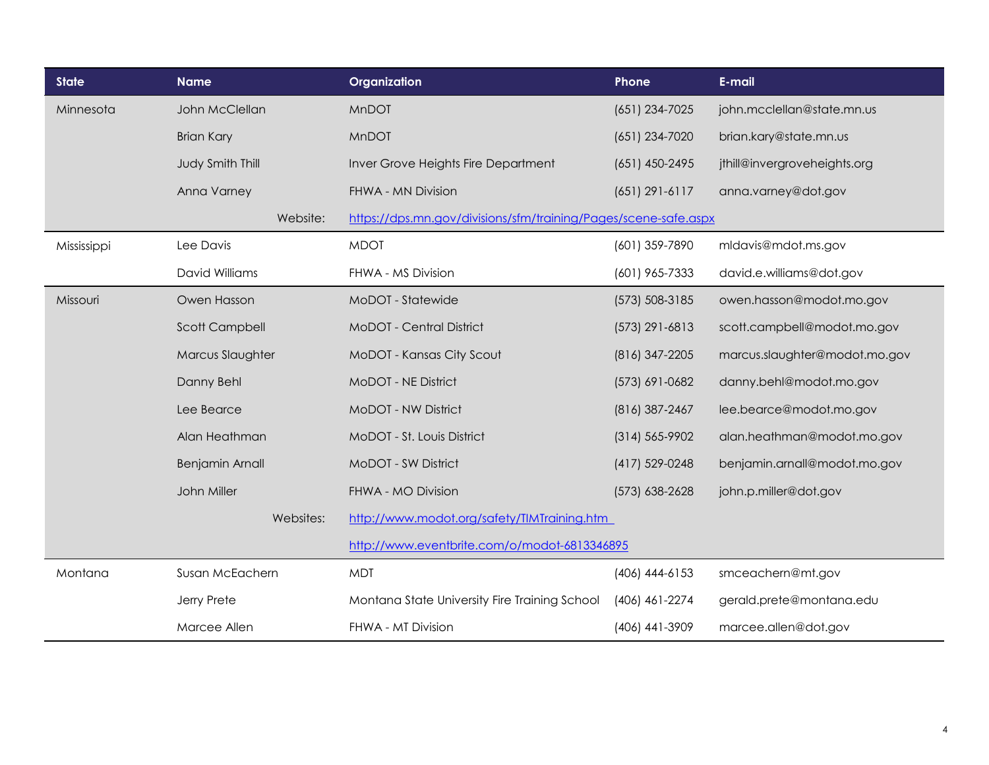| <b>State</b> | <b>Name</b>            | Organization                                                    | Phone              | E-mail                        |
|--------------|------------------------|-----------------------------------------------------------------|--------------------|-------------------------------|
| Minnesota    | John McClellan         | MnDOT                                                           | (651) 234-7025     | john.mcclellan@state.mn.us    |
|              | <b>Brian Kary</b>      | <b>MnDOT</b>                                                    | (651) 234-7020     | brian.kary@state.mn.us        |
|              | Judy Smith Thill       | Inver Grove Heights Fire Department                             | $(651)$ 450-2495   | jthill@invergroveheights.org  |
|              | Anna Varney            | FHWA - MN Division                                              | $(651)$ 291-6117   | anna.varney@dot.gov           |
|              | Website:               | https://dps.mn.gov/divisions/sfm/training/Pages/scene-safe.aspx |                    |                               |
| Mississippi  | Lee Davis              | <b>MDOT</b>                                                     | (601) 359-7890     | mldavis@mdot.ms.gov           |
|              | <b>David Williams</b>  | FHWA - MS Division                                              | (601) 965-7333     | david.e.williams@dot.gov      |
| Missouri     | Owen Hasson            | MoDOT - Statewide                                               | (573) 508-3185     | owen.hasson@modot.mo.gov      |
|              | <b>Scott Campbell</b>  | MoDOT - Central District                                        | (573) 291-6813     | scott.campbell@modot.mo.gov   |
|              | Marcus Slaughter       | MoDOT - Kansas City Scout                                       | (816) 347-2205     | marcus.slaughter@modot.mo.gov |
|              | Danny Behl             | MoDOT - NE District                                             | (573) 691-0682     | danny.behl@modot.mo.gov       |
|              | Lee Bearce             | MoDOT - NW District                                             | (816) 387-2467     | lee.bearce@modot.mo.gov       |
|              | Alan Heathman          | MoDOT - St. Louis District                                      | $(314) 565 - 9902$ | alan.heathman@modot.mo.gov    |
|              | <b>Benjamin Arnall</b> | MoDOT - SW District                                             | (417) 529-0248     | benjamin.arnall@modot.mo.gov  |
|              | John Miller            | FHWA - MO Division                                              | (573) 638-2628     | john.p.miller@dot.gov         |
|              | Websites:              | http://www.modot.org/safety/TIMTraining.htm                     |                    |                               |
|              |                        | http://www.eventbrite.com/o/modot-6813346895                    |                    |                               |
| Montana      | Susan McEachern        | <b>MDT</b>                                                      | $(406)$ 444-6153   | smceachern@mt.gov             |
|              | Jerry Prete            | Montana State University Fire Training School                   | (406) 461-2274     | gerald.prete@montana.edu      |
|              | Marcee Allen           | FHWA - MT Division                                              | (406) 441-3909     | marcee.allen@dot.gov          |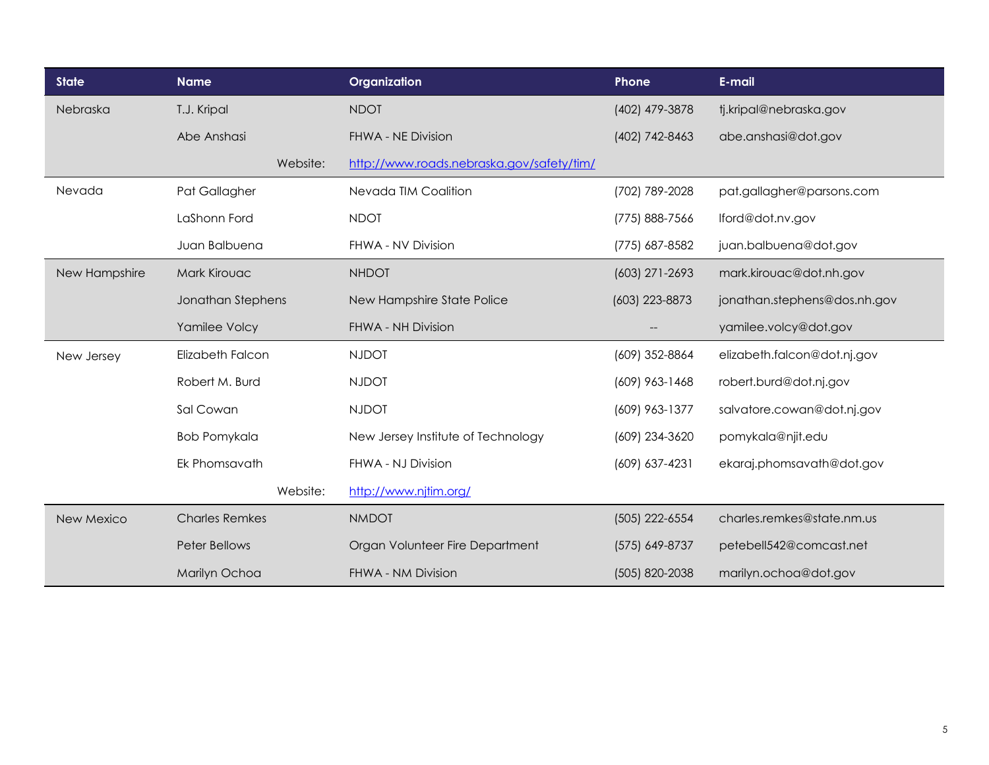| <b>State</b>  | <b>Name</b>           | Organization                              | Phone              | E-mail                       |
|---------------|-----------------------|-------------------------------------------|--------------------|------------------------------|
| Nebraska      | T.J. Kripal           | <b>NDOT</b>                               | (402) 479-3878     | tj.kripal@nebraska.gov       |
|               | Abe Anshasi           | FHWA - NE Division                        | (402) 742-8463     | abe.anshasi@dot.gov          |
|               | Website:              | http://www.roads.nebraska.gov/safety/tim/ |                    |                              |
| Nevada        | Pat Gallagher         | Nevada TIM Coalition                      | (702) 789-2028     | pat.gallagher@parsons.com    |
|               | LaShonn Ford          | <b>NDOT</b>                               | (775) 888-7566     | lford@dot.nv.gov             |
|               | Juan Balbuena         | FHWA - NV Division                        | (775) 687-8582     | juan.balbuena@dot.gov        |
| New Hampshire | <b>Mark Kirouac</b>   | <b>NHDOT</b>                              | (603) 271-2693     | mark.kirouac@dot.nh.gov      |
|               | Jonathan Stephens     | New Hampshire State Police                | (603) 223-8873     | jonathan.stephens@dos.nh.gov |
|               | Yamilee Volcy         | FHWA - NH Division                        |                    | yamilee.volcy@dot.gov        |
| New Jersey    | Elizabeth Falcon      | <b>NJDOT</b>                              | (609) 352-8864     | elizabeth.falcon@dot.nj.gov  |
|               | Robert M. Burd        | <b>NJDOT</b>                              | $(609)$ 963-1468   | robert.burd@dot.nj.gov       |
|               | Sal Cowan             | <b>NJDOT</b>                              | (609) 963-1377     | salvatore.cowan@dot.nj.gov   |
|               | <b>Bob Pomykala</b>   | New Jersey Institute of Technology        | (609) 234-3620     | pomykala@njit.edu            |
|               | Ek Phomsavath         | FHWA - NJ Division                        | $(609) 637 - 4231$ | ekaraj.phomsavath@dot.gov    |
|               | Website:              | http://www.njtim.org/                     |                    |                              |
| New Mexico    | <b>Charles Remkes</b> | <b>NMDOT</b>                              | (505) 222-6554     | charles.remkes@state.nm.us   |
|               | Peter Bellows         | Organ Volunteer Fire Department           | (575) 649-8737     | petebell542@comcast.net      |
|               | Marilyn Ochoa         | FHWA - NM Division                        | (505) 820-2038     | marilyn.ochoa@dot.gov        |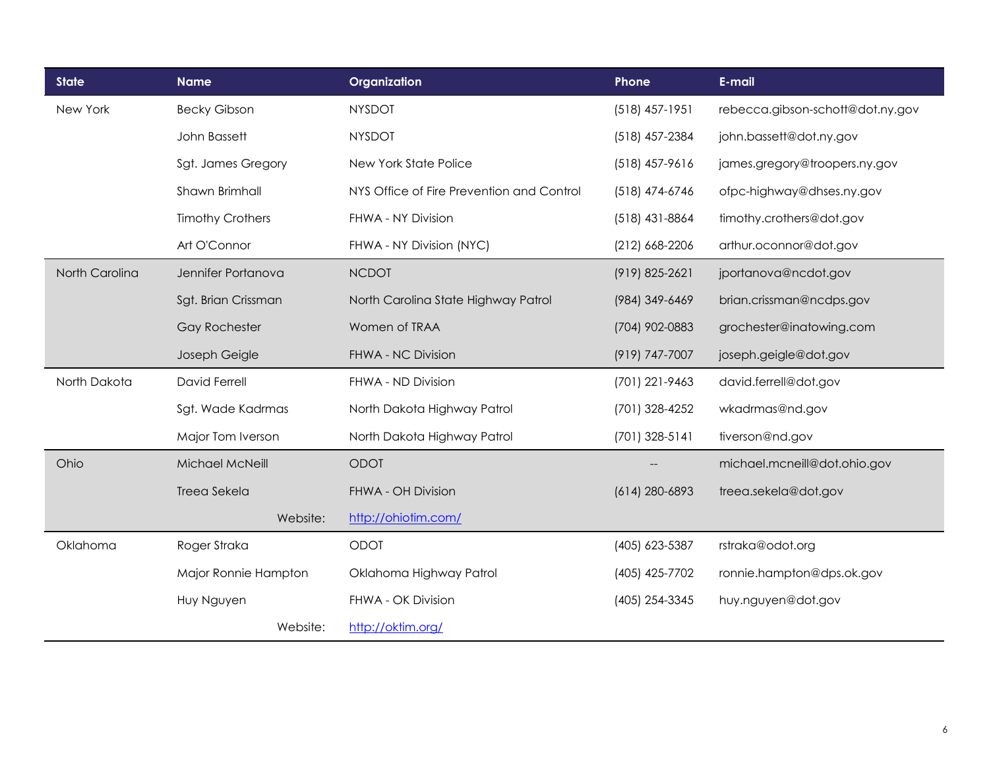| <b>State</b>   | <b>Name</b>             | Organization                              | Phone            | E-mail                           |
|----------------|-------------------------|-------------------------------------------|------------------|----------------------------------|
| New York       | <b>Becky Gibson</b>     | <b>NYSDOT</b>                             | $(518)$ 457-1951 | rebecca.gibson-schott@dot.ny.gov |
|                | John Bassett            | <b>NYSDOT</b>                             | (518) 457-2384   | john.bassett@dot.ny.gov          |
|                | Sgt. James Gregory      | New York State Police                     | $(518)$ 457-9616 | james.gregory@troopers.ny.gov    |
|                | Shawn Brimhall          | NYS Office of Fire Prevention and Control | (518) 474-6746   | ofpc-highway@dhses.ny.gov        |
|                | <b>Timothy Crothers</b> | FHWA - NY Division                        | $(518)$ 431-8864 | timothy.crothers@dot.gov         |
|                | Art O'Connor            | FHWA - NY Division (NYC)                  | $(212)$ 668-2206 | arthur.oconnor@dot.gov           |
| North Carolina | Jennifer Portanova      | <b>NCDOT</b>                              | (919) 825-2621   | jportanova@ncdot.gov             |
|                | Sgt. Brian Crissman     | North Carolina State Highway Patrol       | (984) 349-6469   | brian.crissman@ncdps.gov         |
|                | <b>Gay Rochester</b>    | Women of TRAA                             | (704) 902-0883   | grochester@inatowing.com         |
|                | Joseph Geigle           | FHWA - NC Division                        | (919) 747-7007   | joseph.geigle@dot.gov            |
| North Dakota   | David Ferrell           | FHWA - ND Division                        | (701) 221-9463   | david.ferrell@dot.gov            |
|                | Sgt. Wade Kadrmas       | North Dakota Highway Patrol               | (701) 328-4252   | wkadrmas@nd.gov                  |
|                | Major Tom Iverson       | North Dakota Highway Patrol               | $(701)$ 328-5141 | tiverson@nd.gov                  |
| Ohio           | Michael McNeill         | <b>ODOT</b>                               |                  | michael.mcneill@dot.ohio.gov     |
|                | Treea Sekela            | FHWA - OH Division                        | $(614)$ 280-6893 | treea.sekela@dot.gov             |
|                | Website:                | http://ohiotim.com/                       |                  |                                  |
| Oklahoma       | Roger Straka            | <b>ODOT</b>                               | (405) 623-5387   | rstraka@odot.org                 |
|                | Major Ronnie Hampton    | Oklahoma Highway Patrol                   | (405) 425-7702   | ronnie.hampton@dps.ok.gov        |
|                | Huy Nguyen              | FHWA - OK Division                        | (405) 254-3345   | huy.nguyen@dot.gov               |
|                | Website:                | http://oktim.org/                         |                  |                                  |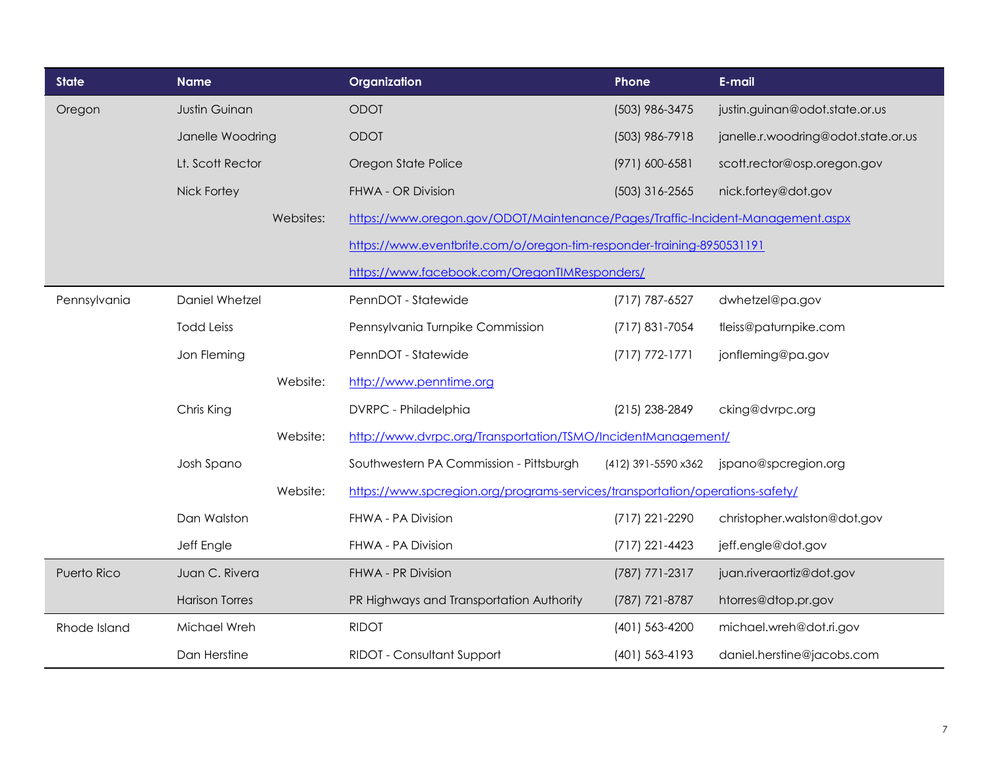| <b>State</b> | <b>Name</b>           |           | Organization                                                                   | Phone               | E-mail                              |
|--------------|-----------------------|-----------|--------------------------------------------------------------------------------|---------------------|-------------------------------------|
| Oregon       | Justin Guinan         |           | ODOT                                                                           | (503) 986-3475      | justin.guinan@odot.state.or.us      |
|              | Janelle Woodring      |           | <b>ODOT</b>                                                                    | (503) 986-7918      | janelle.r.woodring@odot.state.or.us |
|              | Lt. Scott Rector      |           | Oregon State Police                                                            | (971) 600-6581      | scott.rector@osp.oregon.gov         |
|              | Nick Fortey           |           | FHWA - OR Division                                                             | $(503)$ 316-2565    | nick.fortey@dot.gov                 |
|              |                       | Websites: | https://www.oregon.gov/ODOT/Maintenance/Pages/Traffic-Incident-Management.aspx |                     |                                     |
|              |                       |           | https://www.eventbrite.com/o/oregon-tim-responder-training-8950531191          |                     |                                     |
|              |                       |           | https://www.facebook.com/OregonTIMResponders/                                  |                     |                                     |
| Pennsylvania | Daniel Whetzel        |           | PennDOT - Statewide                                                            | (717) 787-6527      | dwhetzel@pa.gov                     |
|              | <b>Todd Leiss</b>     |           | Pennsylvania Turnpike Commission                                               | (717) 831-7054      | tleiss@paturnpike.com               |
|              | Jon Fleming           |           | PennDOT - Statewide                                                            | $(717) 772 - 1771$  | jonfleming@pa.gov                   |
|              |                       | Website:  | http://www.penntime.org                                                        |                     |                                     |
|              | Chris King            |           | DVRPC - Philadelphia                                                           | (215) 238-2849      | cking@dvrpc.org                     |
|              |                       | Website:  | http://www.dvrpc.org/Transportation/TSMO/IncidentManagement/                   |                     |                                     |
|              | Josh Spano            |           | Southwestern PA Commission - Pittsburgh                                        | (412) 391-5590 x362 | jspano@spcregion.org                |
|              |                       | Website:  | https://www.spcregion.org/programs-services/transportation/operations-safety/  |                     |                                     |
|              | Dan Walston           |           | FHWA - PA Division                                                             | (717) 221-2290      | christopher.walston@dot.gov         |
|              | Jeff Engle            |           | FHWA - PA Division                                                             | $(717)$ 221-4423    | jeff.engle@dot.gov                  |
| Puerto Rico  | Juan C. Rivera        |           | FHWA - PR Division                                                             | (787) 771-2317      | juan.riveraortiz@dot.gov            |
|              | <b>Harison Torres</b> |           | PR Highways and Transportation Authority                                       | (787) 721-8787      | htorres@dtop.pr.gov                 |
| Rhode Island | Michael Wreh          |           | <b>RIDOT</b>                                                                   | (401) 563-4200      | michael.wreh@dot.ri.gov             |
|              | Dan Herstine          |           | RIDOT - Consultant Support                                                     | (401) 563-4193      | daniel.herstine@jacobs.com          |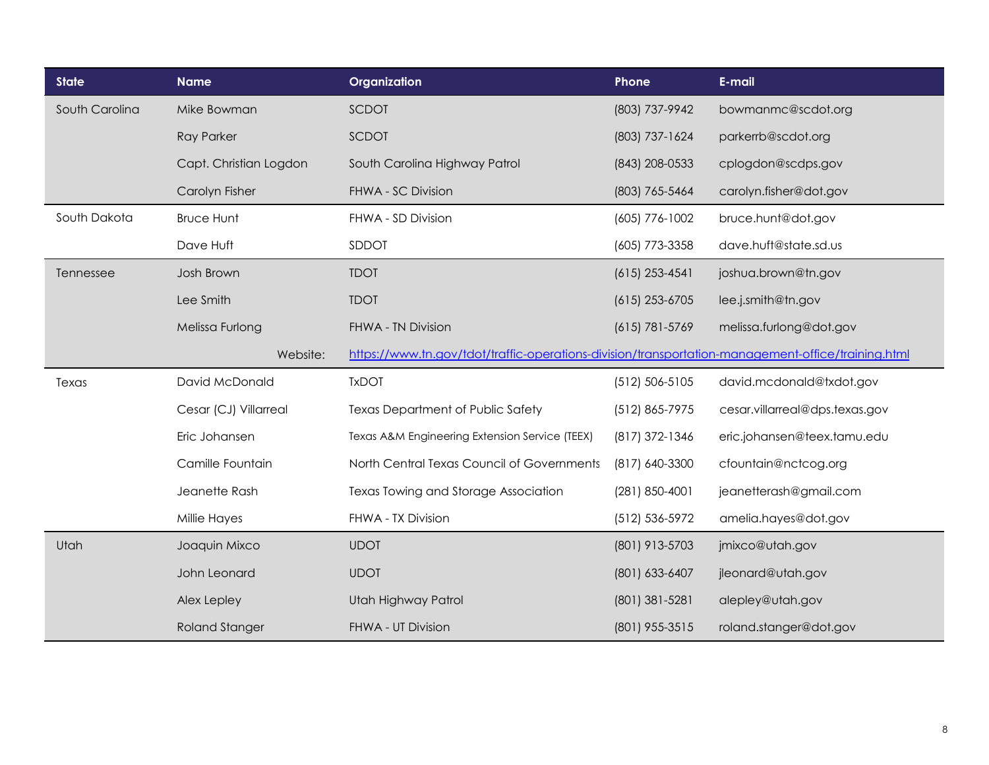| <b>State</b>   | <b>Name</b>            | Organization                                                                                       | Phone              | E-mail                         |
|----------------|------------------------|----------------------------------------------------------------------------------------------------|--------------------|--------------------------------|
| South Carolina | Mike Bowman            | SCDOT                                                                                              | (803) 737-9942     | bowmanmc@scdot.org             |
|                | <b>Ray Parker</b>      | SCDOT                                                                                              | (803) 737-1624     | parkerrb@scdot.org             |
|                | Capt. Christian Logdon | South Carolina Highway Patrol                                                                      | (843) 208-0533     | cplogdon@scdps.gov             |
|                | Carolyn Fisher         | FHWA - SC Division                                                                                 | (803) 765-5464     | carolyn.fisher@dot.gov         |
| South Dakota   | <b>Bruce Hunt</b>      | FHWA - SD Division                                                                                 | (605) 776-1002     | bruce.hunt@dot.gov             |
|                | Dave Huft              | SDDOT                                                                                              | (605) 773-3358     | dave.huft@state.sd.us          |
| Tennessee      | Josh Brown             | <b>TDOT</b>                                                                                        | $(615)$ 253-4541   | joshua.brown@tn.gov            |
|                | Lee Smith              | <b>TDOT</b>                                                                                        | $(615)$ 253-6705   | lee.j.smith@tn.gov             |
|                | Melissa Furlong        | <b>FHWA - TN Division</b>                                                                          | $(615) 781 - 5769$ | melissa.furlong@dot.gov        |
|                | Website:               | https://www.tn.gov/tdot/traffic-operations-division/transportation-management-office/training.html |                    |                                |
| Texas          | David McDonald         | <b>TxDOT</b>                                                                                       | $(512) 506 - 5105$ | david.mcdonald@txdot.gov       |
|                | Cesar (CJ) Villarreal  | Texas Department of Public Safety                                                                  | (512) 865-7975     | cesar.villarreal@dps.texas.gov |
|                | Eric Johansen          | Texas A&M Engineering Extension Service (TEEX)                                                     | (817) 372-1346     | eric.johansen@teex.tamu.edu    |
|                | Camille Fountain       | North Central Texas Council of Governments                                                         | (817) 640-3300     | cfountain@nctcog.org           |
|                | Jeanette Rash          | Texas Towing and Storage Association                                                               | (281) 850-4001     | jeanetterash@gmail.com         |
|                | Millie Hayes           | FHWA - TX Division                                                                                 | (512) 536-5972     | amelia.hayes@dot.gov           |
| Utah           | Joaquin Mixco          | <b>UDOT</b>                                                                                        | (801) 913-5703     | jmixco@utah.gov                |
|                | John Leonard           | <b>UDOT</b>                                                                                        | (801) 633-6407     | jleonard@utah.gov              |
|                | Alex Lepley            | Utah Highway Patrol                                                                                | (801) 381-5281     | alepley@utah.gov               |
|                | <b>Roland Stanger</b>  | FHWA - UT Division                                                                                 | (801) 955-3515     | roland.stanger@dot.gov         |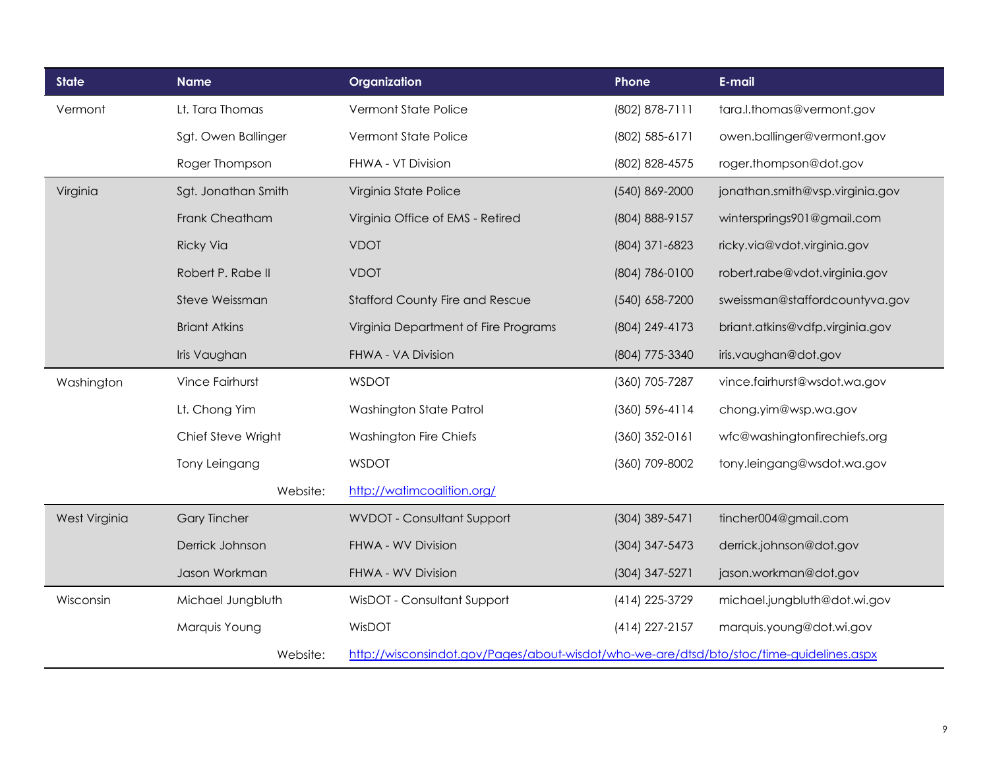| <b>State</b>  | <b>Name</b>            | Organization                                                                             | Phone              | E-mail                          |
|---------------|------------------------|------------------------------------------------------------------------------------------|--------------------|---------------------------------|
| Vermont       | Lt. Tara Thomas        | Vermont State Police                                                                     | (802) 878-7111     | tara.l.thomas@vermont.gov       |
|               | Sgt. Owen Ballinger    | Vermont State Police                                                                     | (802) 585-6171     | owen.ballinger@vermont.gov      |
|               | Roger Thompson         | FHWA - VT Division                                                                       | (802) 828-4575     | roger.thompson@dot.gov          |
| Virginia      | Sgt. Jonathan Smith    | Virginia State Police                                                                    | (540) 869-2000     | jonathan.smith@vsp.virginia.gov |
|               | Frank Cheatham         | Virginia Office of EMS - Retired                                                         | (804) 888-9157     | wintersprings901@gmail.com      |
|               | <b>Ricky Via</b>       | <b>VDOT</b>                                                                              | (804) 371-6823     | ricky.via@vdot.virginia.gov     |
|               | Robert P. Rabe II      | <b>VDOT</b>                                                                              | (804) 786-0100     | robert.rabe@vdot.virginia.gov   |
|               | Steve Weissman         | <b>Stafford County Fire and Rescue</b>                                                   | (540) 658-7200     | sweissman@staffordcountyva.gov  |
|               | <b>Briant Atkins</b>   | Virginia Department of Fire Programs                                                     | (804) 249-4173     | briant.atkins@vdfp.virginia.gov |
|               | Iris Vaughan           | FHWA - VA Division                                                                       | (804) 775-3340     | iris.vaughan@dot.gov            |
| Washington    | <b>Vince Fairhurst</b> | <b>WSDOT</b>                                                                             | (360) 705-7287     | vince.fairhurst@wsdot.wa.gov    |
|               | Lt. Chong Yim          | Washington State Patrol                                                                  | $(360) 596 - 4114$ | chong.yim@wsp.wa.gov            |
|               | Chief Steve Wright     | Washington Fire Chiefs                                                                   | $(360)$ 352-0161   | wfc@washingtonfirechiefs.org    |
|               | Tony Leingang          | <b>WSDOT</b>                                                                             | (360) 709-8002     | tony.leingang@wsdot.wa.gov      |
|               | Website:               | http://watimcoalition.org/                                                               |                    |                                 |
| West Virginia | <b>Gary Tincher</b>    | <b>WVDOT - Consultant Support</b>                                                        | (304) 389-5471     | tincher004@gmail.com            |
|               | Derrick Johnson        | FHWA - WV Division                                                                       | (304) 347-5473     | derrick.johnson@dot.gov         |
|               | Jason Workman          | FHWA - WV Division                                                                       | (304) 347-5271     | jason.workman@dot.gov           |
| Wisconsin     | Michael Jungbluth      | WisDOT - Consultant Support                                                              | (414) 225-3729     | michael.jungbluth@dot.wi.gov    |
|               | Marquis Young          | WisDOT                                                                                   | (414) 227-2157     | marquis.young@dot.wi.gov        |
|               | Website:               | http://wisconsindot.gov/Pages/about-wisdot/who-we-are/dtsd/bto/stoc/time-guidelines.aspx |                    |                                 |